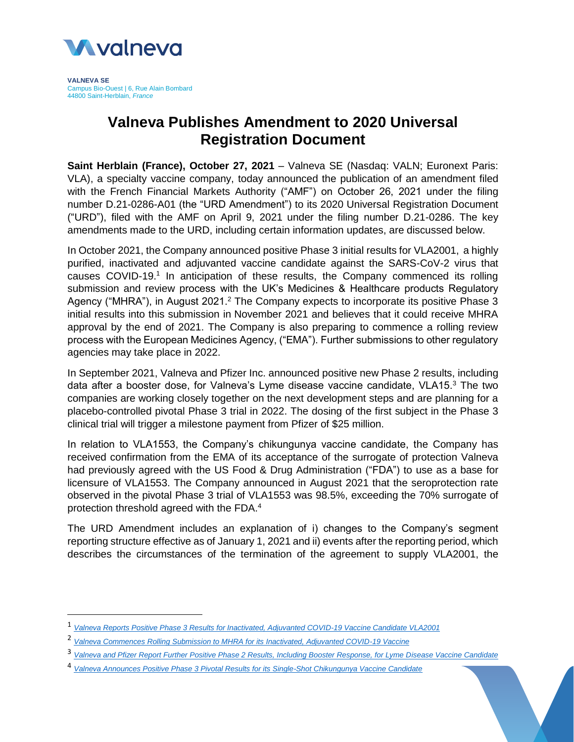

**VALNEVA SE** Campus Bio-Ouest | 6, Rue Alain Bombard 44800 Saint-Herblain, *France*

 $\overline{\phantom{a}}$ 

## **Valneva Publishes Amendment to 2020 Universal Registration Document**

**Saint Herblain (France), October 27, 2021** – Valneva SE (Nasdaq: VALN; Euronext Paris: VLA), a specialty vaccine company, today announced the publication of an amendment filed with the French Financial Markets Authority ("AMF") on October 26, 2021 under the filing number D.21-0286-A01 (the "URD Amendment") to its 2020 Universal Registration Document ("URD"), filed with the AMF on April 9, 2021 under the filing number D.21-0286. The key amendments made to the URD, including certain information updates, are discussed below.

In October 2021, the Company announced positive Phase 3 initial results for VLA2001, a highly purified, inactivated and adjuvanted vaccine candidate against the SARS-CoV-2 virus that causes COVID-19.<sup>1</sup> In anticipation of these results, the Company commenced its rolling submission and review process with the UK's Medicines & Healthcare products Regulatory Agency ("MHRA"), in August 2021.<sup>2</sup> The Company expects to incorporate its positive Phase 3 initial results into this submission in November 2021 and believes that it could receive MHRA approval by the end of 2021. The Company is also preparing to commence a rolling review process with the European Medicines Agency, ("EMA"). Further submissions to other regulatory agencies may take place in 2022.

In September 2021, Valneva and Pfizer Inc. announced positive new Phase 2 results, including data after a booster dose, for Valneva's Lyme disease vaccine candidate, VLA15. $3$  The two companies are working closely together on the next development steps and are planning for a placebo-controlled pivotal Phase 3 trial in 2022. The dosing of the first subject in the Phase 3 clinical trial will trigger a milestone payment from Pfizer of \$25 million.

In relation to VLA1553, the Company's chikungunya vaccine candidate, the Company has received confirmation from the EMA of its acceptance of the surrogate of protection Valneva had previously agreed with the US Food & Drug Administration ("FDA") to use as a base for licensure of VLA1553. The Company announced in August 2021 that the seroprotection rate observed in the pivotal Phase 3 trial of VLA1553 was 98.5%, exceeding the 70% surrogate of protection threshold agreed with the FDA.<sup>4</sup>

The URD Amendment includes an explanation of i) changes to the Company's segment reporting structure effective as of January 1, 2021 and ii) events after the reporting period, which describes the circumstances of the termination of the agreement to supply VLA2001, the

<sup>1</sup> *[Valneva Reports Positive Phase 3 Results for Inactivated, Adjuvanted COVID-19 Vaccine Candidate VLA2001](https://valneva.com/press-release/valneva-reports-positive-phase-3-results-for-inactivated-adjuvanted-covid-19-vaccine-candidate-vla2001/)*

<sup>2</sup> *[Valneva Commences Rolling Submission to MHRA for its Inactivated, Adjuvanted COVID-19 Vaccine](https://valneva.com/press-release/valneva-commences-rolling-submission-to-mhra-for-its-inactivated-adjuvanted-covid-19-vaccine/)*

<sup>3</sup> *[Valneva and Pfizer Report Further Positive Phase 2 Results, Including Booster Response, for Lyme Disease Vaccine Candidate](https://valneva.com/press-release/valneva-and-pfizer-report-further-positive-phase-2-results-including-booster-response-for-lyme-disease-vaccine-candidate/)*

<sup>4</sup> *[Valneva Announces Positive Phase 3 Pivotal Results for its Single-Shot Chikungunya Vaccine Candidate](https://valneva.com/press-release/valneva-announces-positive-phase-3-pivotal-results-for-its-single-shot-chikungunya-vaccine-candidate/)*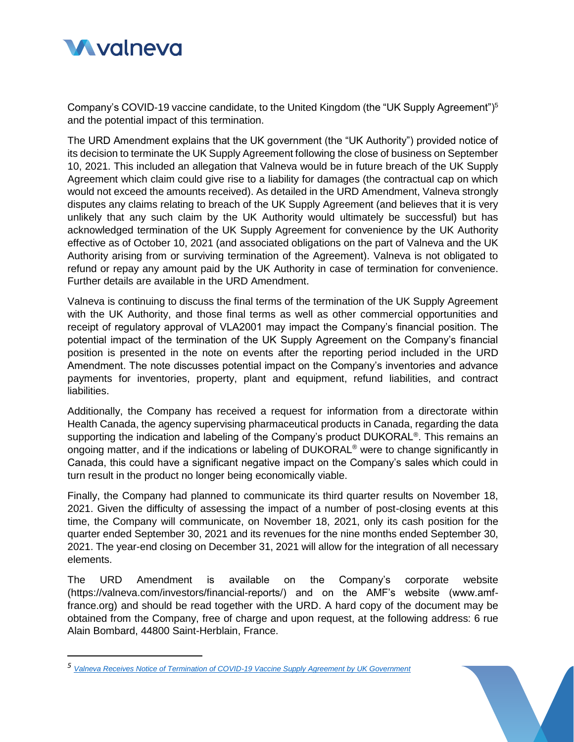

Company's COVID-19 vaccine candidate, to the United Kingdom (the "UK Supply Agreement")<sup>5</sup> and the potential impact of this termination.

The URD Amendment explains that the UK government (the "UK Authority") provided notice of its decision to terminate the UK Supply Agreement following the close of business on September 10, 2021. This included an allegation that Valneva would be in future breach of the UK Supply Agreement which claim could give rise to a liability for damages (the contractual cap on which would not exceed the amounts received). As detailed in the URD Amendment, Valneva strongly disputes any claims relating to breach of the UK Supply Agreement (and believes that it is very unlikely that any such claim by the UK Authority would ultimately be successful) but has acknowledged termination of the UK Supply Agreement for convenience by the UK Authority effective as of October 10, 2021 (and associated obligations on the part of Valneva and the UK Authority arising from or surviving termination of the Agreement). Valneva is not obligated to refund or repay any amount paid by the UK Authority in case of termination for convenience. Further details are available in the URD Amendment.

Valneva is continuing to discuss the final terms of the termination of the UK Supply Agreement with the UK Authority, and those final terms as well as other commercial opportunities and receipt of regulatory approval of VLA2001 may impact the Company's financial position. The potential impact of the termination of the UK Supply Agreement on the Company's financial position is presented in the note on events after the reporting period included in the URD Amendment. The note discusses potential impact on the Company's inventories and advance payments for inventories, property, plant and equipment, refund liabilities, and contract liabilities.

Additionally, the Company has received a request for information from a directorate within Health Canada, the agency supervising pharmaceutical products in Canada, regarding the data supporting the indication and labeling of the Company's product DUKORAL<sup>®</sup>. This remains an ongoing matter, and if the indications or labeling of DUKORAL® were to change significantly in Canada, this could have a significant negative impact on the Company's sales which could in turn result in the product no longer being economically viable.

Finally, the Company had planned to communicate its third quarter results on November 18, 2021. Given the difficulty of assessing the impact of a number of post-closing events at this time, the Company will communicate, on November 18, 2021, only its cash position for the quarter ended September 30, 2021 and its revenues for the nine months ended September 30, 2021. The year-end closing on December 31, 2021 will allow for the integration of all necessary elements.

The URD Amendment is available on the Company's corporate website (https://valneva.com/investors/financial-reports/) and on the AMF's website (www.amffrance.org) and should be read together with the URD. A hard copy of the document may be obtained from the Company, free of charge and upon request, at the following address: 6 rue Alain Bombard, 44800 Saint-Herblain, France.

 $\overline{\phantom{a}}$ 

*<sup>5</sup> [Valneva Receives Notice of Termination of COVID-19 Vaccine Supply Agreement by UK Government](https://valneva.com/press-release/valneva-receives-notice-of-termination-of-covid-19-vaccine-supply-agreement-by-uk-government/?lang=fr)*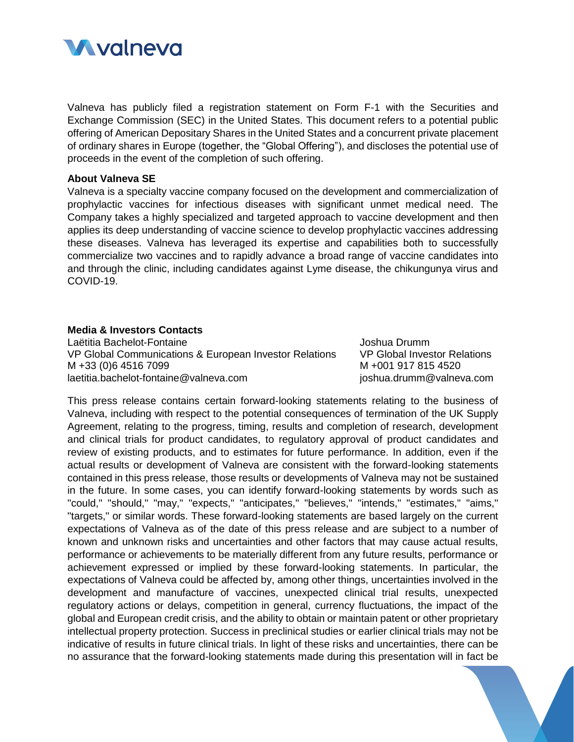

Valneva has publicly filed a registration statement on Form F-1 with the Securities and Exchange Commission (SEC) in the United States. This document refers to a potential public offering of American Depositary Shares in the United States and a concurrent private placement of ordinary shares in Europe (together, the "Global Offering"), and discloses the potential use of proceeds in the event of the completion of such offering.

## **About Valneva SE**

Valneva is a specialty vaccine company focused on the development and commercialization of prophylactic vaccines for infectious diseases with significant unmet medical need. The Company takes a highly specialized and targeted approach to vaccine development and then applies its deep understanding of vaccine science to develop prophylactic vaccines addressing these diseases. Valneva has leveraged its expertise and capabilities both to successfully commercialize two vaccines and to rapidly advance a broad range of vaccine candidates into and through the clinic, including candidates against Lyme disease, the chikungunya virus and COVID-19.

## **Media & Investors Contacts**

Laëtitia Bachelot-Fontaine VP Global Communications & European Investor Relations M +33 (0)6 4516 7099 laetitia.bachelot-fontaine@valneva.com

Joshua Drumm VP Global Investor Relations M +001 917 815 4520 joshua.drumm@valneva.com

This press release contains certain forward-looking statements relating to the business of Valneva, including with respect to the potential consequences of termination of the UK Supply Agreement, relating to the progress, timing, results and completion of research, development and clinical trials for product candidates, to regulatory approval of product candidates and review of existing products, and to estimates for future performance. In addition, even if the actual results or development of Valneva are consistent with the forward-looking statements contained in this press release, those results or developments of Valneva may not be sustained in the future. In some cases, you can identify forward-looking statements by words such as "could," "should," "may," "expects," "anticipates," "believes," "intends," "estimates," "aims," "targets," or similar words. These forward-looking statements are based largely on the current expectations of Valneva as of the date of this press release and are subject to a number of known and unknown risks and uncertainties and other factors that may cause actual results, performance or achievements to be materially different from any future results, performance or achievement expressed or implied by these forward-looking statements. In particular, the expectations of Valneva could be affected by, among other things, uncertainties involved in the development and manufacture of vaccines, unexpected clinical trial results, unexpected regulatory actions or delays, competition in general, currency fluctuations, the impact of the global and European credit crisis, and the ability to obtain or maintain patent or other proprietary intellectual property protection. Success in preclinical studies or earlier clinical trials may not be indicative of results in future clinical trials. In light of these risks and uncertainties, there can be no assurance that the forward-looking statements made during this presentation will in fact be